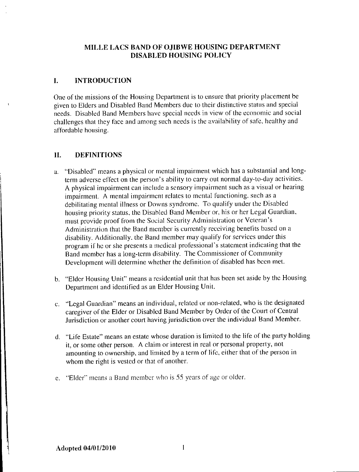# MILLE LACS BAND OF OJIBWE HOUSING DEPARTMENT DISABLED HOUSING POLICY

## 1. INTRODUCTION

One of the missions of the Housing Department is to ensure that priority placement be given to Elders and Disabled Band Members due to their distinctive status and special needs. Disabled Band Members have special needs in view of the economic and social challenges that they face and among such needs is the availability of safe, healthy and affordable housing.

## 11. DEFINITIONS

- a. " Disabled" means <sup>a</sup> physical or mental impairment which has <sup>a</sup> substantial and longterm adverse effect on the person's ability to carry out normal day-to-day activities. A physical impairment can include <sup>a</sup> sensory impairment such as <sup>a</sup> visual or hearing impairment. A mental impairment relates to mental functioning, such as <sup>a</sup> debilitating mental illness or Downs syndrome. To qualify under the Disabled housing priority status, the Disabled Band Member or, his or her Legal Guardian, must provide proof from the Social Security Administration or Veteran' <sup>s</sup> Administration that the Band member is currently receiving benefits based on <sup>a</sup> disability. Additionally, the Band member may qualify for services under this program if he or she presents a medical professional's statement indicating that the Band member has <sup>a</sup> long- term disability. The Commissioner of Community Development will determine whether the definition of disabled has been met.
- b. " Elder Housing Unit" means <sup>a</sup> residential unit that has been set aside by the Housing Department and identified as an Elder Housing Unit.
- c. " Legal Guardian" means an individual, related or non- related, who is the designated caregiver of the Elder or Disabled Band Member by Order of the Court of Central Jurisdiction or another court having jurisdiction over the individual Band Member.
- d. " Life Estate" means an estate whose duration is limited to the life of the party holding it, or some other person. A claim or interest in real or personal property, not amounting to ownership, and limited by <sup>a</sup> term of life, either that of the person in whom the right is vested or that of another.
- e. " Elder" means <sup>a</sup> Band member who is 55 years of age or older.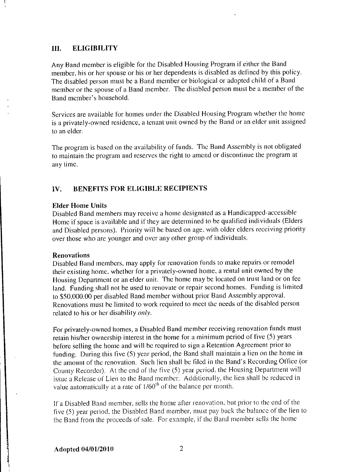#### III. ELIGIBILITY

Any Band member is eligible for the Disabled Housing Program if either the Band member, his or her spouse or his or her dependents is disabled as defined by this policy. The disabled person must be <sup>a</sup> Band member or biological or adopted child of <sup>a</sup> Band member or the spouse of <sup>a</sup> Band member. The disabled person must be <sup>a</sup> member of the Band member's household.

Services are available for homes under the Disabled Housing Program whether the home is <sup>a</sup> privately-owned residence, a tenant unit owned by the Band or an elder unit assigned to an elder.

The program is based on the availability of funds. The Band Assembly is not obligated to maintain the program and reserves the right to amend or discontinue the program at any time.

# IV. BENEFITS FOR ELIGIBLE RECIPIENTS

#### Elder Home Units

Disabled Band members may receive a home designated as a Handicapped- accessible Home if space is available and if they are determined to be qualified individuals (Elders and Disabled persons). Priority will be based on age, with older elders receiving priority over those who are younger and over any other group of individuals.

#### Renovations

Disabled Band members, may apply for renovation funds to make repairs or remodel their existing home, whether for <sup>a</sup> privately-owned home, a rental unit owned by the Housing Department or an elder unit. The home may be located on trust land or on fee land. Funding shall not be used to renovate or repair second homes. Funding is limited to \$50,000.00 per disabled Band member without prior Band Assembly approval. Renovations must be limited to work required to meet the needs of the disabled person related to his or her disability only.

For privately-owned homes, a Disabled Band member receiving renovation funds must retain his/her ownership interest in the home for a minimum period of five (5) years before selling the home and will be required to sign a Retention Agreement prior to funding. During this five (5) year period, the Band shall maintain <sup>a</sup> lien on the home in the amount of the renovation. Such lien shall be filed in the Band' <sup>s</sup> Recording Office (or County Recorder). At the end of the five (5) year period, the Housing Department will issue <sup>a</sup> Release of Lien to the Band member. Additionally, the lien shall be reduced in value automatically at a rate of 1/60<sup>th</sup> of the balance per month.

If <sup>a</sup> Disabled Band member, sells the home after renovation, but prior to the end of the five (5) year period, the Disabled Band member, must pay back the balance of the lien to the Band from the proceeds of sale. For example, if the Band member sells the home